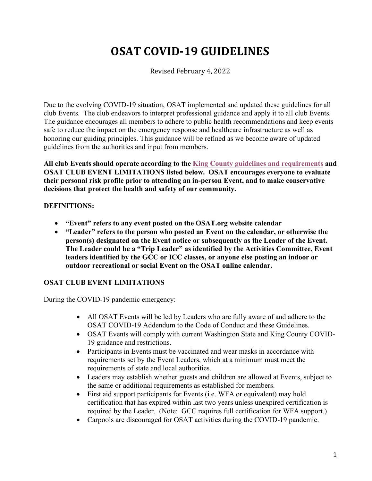# **OSAT COVID-19 GUIDELINES**

Revised February 4, 2022

Due to the evolving COVID-19 situation, OSAT implemented and updated these guidelines for all club Events. The club endeavors to interpret professional guidance and apply it to all club Events. The guidance encourages all members to adhere to public health recommendations and keep events safe to reduce the impact on the emergency response and healthcare infrastructure as well as honoring our guiding principles. This guidance will be refined as we become aware of updated guidelines from the authorities and input from members.

**All club Events should operate according to the King County guidelines and requirements and OSAT CLUB EVENT LIMITATIONS listed below. OSAT encourages everyone to evaluate their personal risk profile prior to attending an in-person Event, and to make conservative decisions that protect the health and safety of our community.**

## **DEFINITIONS:**

- **"Event" refers to any event posted on the OSAT.org website calendar**
- **"Leader" refers to the person who posted an Event on the calendar, or otherwise the person(s) designated on the Event notice or subsequently as the Leader of the Event. The Leader could be a "Trip Leader" as identified by the Activities Committee, Event leaders identified by the GCC or ICC classes, or anyone else posting an indoor or outdoor recreational or social Event on the OSAT online calendar.**

## **OSAT CLUB EVENT LIMITATIONS**

During the COVID-19 pandemic emergency:

- All OSAT Events will be led by Leaders who are fully aware of and adhere to the OSAT COVID-19 Addendum to the Code of Conduct and these Guidelines.
- OSAT Events will comply with current Washington State and King County COVID-19 guidance and restrictions.
- Participants in Events must be vaccinated and wear masks in accordance with requirements set by the Event Leaders, which at a minimum must meet the requirements of state and local authorities.
- Leaders may establish whether guests and children are allowed at Events, subject to the same or additional requirements as established for members.
- First aid support participants for Events (i.e. WFA or equivalent) may hold certification that has expired within last two years unless unexpired certification is required by the Leader. (Note: GCC requires full certification for WFA support.)
- Carpools are discouraged for OSAT activities during the COVID-19 pandemic.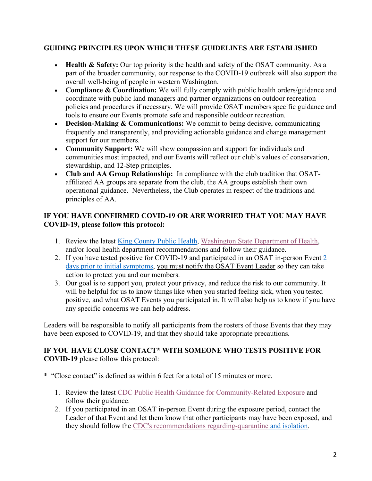## **GUIDING PRINCIPLES UPON WHICH THESE GUIDELINES ARE ESTABLISHED**

- **Health & Safety:** Our top priority is the health and safety of the OSAT community. As a part of the broader community, our response to the COVID-19 outbreak will also support the overall well-being of people in western Washington.
- **Compliance & Coordination:** We will fully comply with public health orders/guidance and coordinate with public land managers and partner organizations on outdoor recreation policies and procedures if necessary. We will provide OSAT members specific guidance and tools to ensure our Events promote safe and responsible outdoor recreation.
- **Decision-Making & Communications:** We commit to being decisive, communicating frequently and transparently, and providing actionable guidance and change management support for our members.
- **Community Support:** We will show compassion and support for individuals and communities most impacted, and our Events will reflect our club's values of conservation, stewardship, and 12-Step principles.
- **Club and AA Group Relationship:** In compliance with the club tradition that OSATaffiliated AA groups are separate from the club, the AA groups establish their own operational guidance. Nevertheless, the Club operates in respect of the traditions and principles of AA.

# **IF YOU HAVE CONFIRMED COVID-19 OR ARE WORRIED THAT YOU MAY HAVE COVID-19, please follow this protocol:**

- 1. Review the latest King County Public Health, Washington State Department of Health, and/or local health department recommendations and follow their guidance.
- 2. If you have tested positive for COVID-19 and participated in an OSAT in-person Event 2 days prior to initial symptoms, you must notify the OSAT Event Leader so they can take action to protect you and our members.
- 3. Our goal is to support you, protect your privacy, and reduce the risk to our community. It will be helpful for us to know things like when you started feeling sick, when you tested positive, and what OSAT Events you participated in. It will also help us to know if you have any specific concerns we can help address.

Leaders will be responsible to notify all participants from the rosters of those Events that they may have been exposed to COVID-19, and that they should take appropriate precautions.

## **IF YOU HAVE CLOSE CONTACT\* WITH SOMEONE WHO TESTS POSITIVE FOR COVID-19** please follow this protocol:

- \* "Close contact" is defined as within 6 feet for a total of 15 minutes or more.
	- 1. Review the latest CDC Public Health Guidance for Community-Related Exposure and follow their guidance.
	- 2. If you participated in an OSAT in-person Event during the exposure period, contact the Leader of that Event and let them know that other participants may have been exposed, and they should follow the CDC's recommendations regarding-quarantine and isolation.